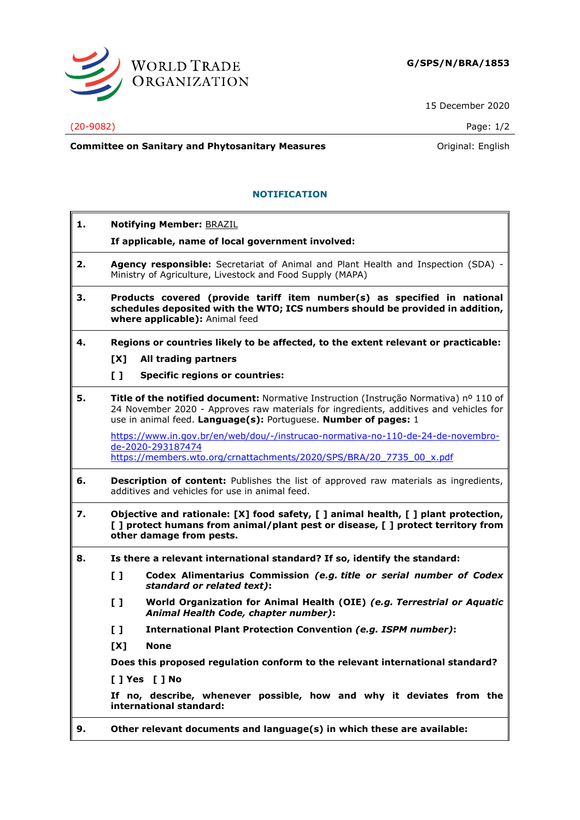

15 December 2020

## (20-9082) Page: 1/2

**Committee on Sanitary and Phytosanitary Measures Committee on Sanitary and Phytosanitary Measures Committee on Sanitary and Phytosanitary Measures** 

## **NOTIFICATION**

| 1. | <b>Notifying Member: BRAZIL</b>                                                                                                                                                                                                                   |
|----|---------------------------------------------------------------------------------------------------------------------------------------------------------------------------------------------------------------------------------------------------|
|    | If applicable, name of local government involved:                                                                                                                                                                                                 |
| 2. | Agency responsible: Secretariat of Animal and Plant Health and Inspection (SDA) -<br>Ministry of Agriculture, Livestock and Food Supply (MAPA)                                                                                                    |
| з. | Products covered (provide tariff item number(s) as specified in national<br>schedules deposited with the WTO; ICS numbers should be provided in addition,<br>where applicable): Animal feed                                                       |
| 4. | Regions or countries likely to be affected, to the extent relevant or practicable:                                                                                                                                                                |
|    | All trading partners<br>[X]                                                                                                                                                                                                                       |
|    | $\mathbf{L}$<br><b>Specific regions or countries:</b>                                                                                                                                                                                             |
| 5. | Title of the notified document: Normative Instruction (Instrução Normativa) nº 110 of<br>24 November 2020 - Approves raw materials for ingredients, additives and vehicles for<br>use in animal feed. Language(s): Portuguese. Number of pages: 1 |
|    | https://www.in.gov.br/en/web/dou/-/instrucao-normativa-no-110-de-24-de-novembro-<br>de-2020-293187474<br>https://members.wto.org/crnattachments/2020/SPS/BRA/20 7735 00 x.pdf                                                                     |
| 6. | <b>Description of content:</b> Publishes the list of approved raw materials as ingredients,<br>additives and vehicles for use in animal feed.                                                                                                     |
| 7. | Objective and rationale: [X] food safety, [] animal health, [] plant protection,<br>[ ] protect humans from animal/plant pest or disease, [ ] protect territory from<br>other damage from pests.                                                  |
| 8. | Is there a relevant international standard? If so, identify the standard:                                                                                                                                                                         |
|    | $\mathbf{L}$<br>Codex Alimentarius Commission (e.g. title or serial number of Codex<br>standard or related text):                                                                                                                                 |
|    | $\mathbf{L}$<br>World Organization for Animal Health (OIE) (e.g. Terrestrial or Aquatic<br>Animal Health Code, chapter number):                                                                                                                   |
|    | $\mathbf{I}$<br>International Plant Protection Convention (e.g. ISPM number):                                                                                                                                                                     |
|    | [X]<br><b>None</b>                                                                                                                                                                                                                                |
|    | Does this proposed regulation conform to the relevant international standard?                                                                                                                                                                     |
|    | [ ] Yes [ ] No                                                                                                                                                                                                                                    |
|    | If no, describe, whenever possible, how and why it deviates from the<br>international standard:                                                                                                                                                   |
| 9. | Other relevant documents and language(s) in which these are available:                                                                                                                                                                            |